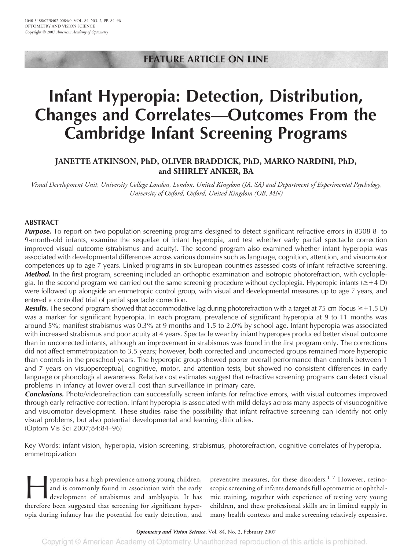# **Infant Hyperopia: Detection, Distribution, Changes and Correlates—Outcomes From the Cambridge Infant Screening Programs**

# **JANETTE ATKINSON, PhD, OLIVER BRADDICK, PhD, MARKO NARDINI, PhD, and SHIRLEY ANKER, BA**

*Visual Development Unit, University College London, London, United Kingdom (JA, SA) and Department of Experimental Psychology, University of Oxford, Oxford, United Kingdom (OB, MN)*

## **ABSTRACT**

*Purpose.* To report on two population screening programs designed to detect significant refractive errors in 8308 8- to 9-month-old infants, examine the sequelae of infant hyperopia, and test whether early partial spectacle correction improved visual outcome (strabismus and acuity). The second program also examined whether infant hyperopia was associated with developmental differences across various domains such as language, cognition, attention, and visuomotor competences up to age 7 years. Linked programs in six European countries assessed costs of infant refractive screening. *Method.* In the first program, screening included an orthoptic examination and isotropic photorefraction, with cycloplegia. In the second program we carried out the same screening procedure without cycloplegia. Hyperopic infants  $(\geq +4$  D) were followed up alongside an emmetropic control group, with visual and developmental measures up to age 7 years, and entered a controlled trial of partial spectacle correction.

**Results.** The second program showed that accommodative lag during photorefraction with a target at 75 cm (focus  $\ge$  +1.5 D) was a marker for significant hyperopia. In each program, prevalence of significant hyperopia at 9 to 11 months was around 5%; manifest strabismus was 0.3% at 9 months and 1.5 to 2.0% by school age. Infant hyperopia was associated with increased strabismus and poor acuity at 4 years. Spectacle wear by infant hyperopes produced better visual outcome than in uncorrected infants, although an improvement in strabismus was found in the first program only. The corrections did not affect emmetropization to 3.5 years; however, both corrected and uncorrected groups remained more hyperopic than controls in the preschool years. The hyperopic group showed poorer overall performance than controls between 1 and 7 years on visuoperceptual, cognitive, motor, and attention tests, but showed no consistent differences in early language or phonological awareness. Relative cost estimates suggest that refractive screening programs can detect visual problems in infancy at lower overall cost than surveillance in primary care.

*Conclusions.* Photo/videorefraction can successfully screen infants for refractive errors, with visual outcomes improved through early refractive correction. Infant hyperopia is associated with mild delays across many aspects of visuocognitive and visuomotor development. These studies raise the possibility that infant refractive screening can identify not only visual problems, but also potential developmental and learning difficulties. (Optom Vis Sci 2007;84:84–96)

Key Words: infant vision, hyperopia, vision screening, strabismus, photorefraction, cognitive correlates of hyperopia, emmetropization

yperopia has a high prevalence among young children,<br>and is commonly found in association with the early<br>development of strabismus and amblyopia. It has<br>therefore been suggested that screening for significant hyperand is commonly found in association with the early development of strabismus and amblyopia. It has therefore been suggested that screening for significant hyperopia during infancy has the potential for early detection, and preventive measures, for these disorders.<sup>1-7</sup> However, retinoscopic screening of infants demands full optometric or ophthalmic training, together with experience of testing very young children, and these professional skills are in limited supply in many health contexts and make screening relatively expensive.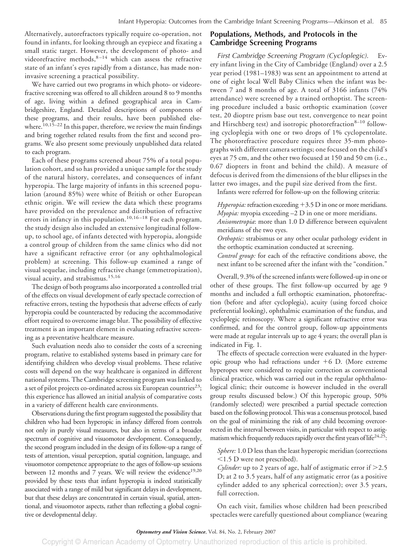Alternatively, autorefractors typically require co-operation, not found in infants, for looking through an eyepiece and fixating a small static target. However, the development of photo- and videorefractive methods, $8-14$  which can assess the refractive state of an infant's eyes rapidly from a distance, has made noninvasive screening a practical possibility.

We have carried out two programs in which photo- or videorefractive screening was offered to all children around 8 to 9 months of age, living within a defined geographical area in Cambridgeshire, England. Detailed descriptions of components of these programs, and their results, have been published elsewhere.<sup>10,15–22</sup> In this paper, therefore, we review the main findings and bring together related results from the first and second programs. We also present some previously unpublished data related to each program.

Each of these programs screened about 75% of a total population cohort, and so has provided a unique sample for the study of the natural history, correlates, and consequences of infant hyperopia. The large majority of infants in this screened population (around 85%) were white of British or other European ethnic origin. We will review the data which these programs have provided on the prevalence and distribution of refractive errors in infancy in this population.<sup>10,16-18</sup> For each program, the study design also included an extensive longitudinal followup, to school age, of infants detected with hyperopia, alongside a control group of children from the same clinics who did not have a significant refractive error (or any ophthalmological problem) at screening. This follow-up examined a range of visual sequelae, including refractive change (emmetropization), visual acuity, and strabismus.15,16

The design of both programs also incorporated a controlled trial of the effects on visual development of early spectacle correction of refractive errors, testing the hypothesis that adverse effects of early hyperopia could be counteracted by reducing the accommodative effort required to overcome image blur. The possibility of effective treatment is an important element in evaluating refractive screening as a preventative healthcare measure.

Such evaluation needs also to consider the costs of a screening program, relative to established systems based in primary care for identifying children who develop visual problems. These relative costs will depend on the way healthcare is organized in different national systems. The Cambridge screening program was linked to a set of pilot projects co-ordinated across six European countries<sup>23</sup>; this experience has allowed an initial analysis of comparative costs in a variety of different health care environments.

Observations during the first program suggested the possibility that children who had been hyperopic in infancy differed from controls not only in purely visual measures, but also in terms of a broader spectrum of cognitive and visuomotor development. Consequently, the second program included in the design of its follow-up a range of tests of attention, visual perception, spatial cognition, language, and visuomotor competence appropriate to the ages of follow-up sessions between 12 months and 7 years. We will review the evidence<sup>19,20</sup> provided by these tests that infant hyperopia is indeed statistically associated with a range of mild but significant delays in development, but that these delays are concentrated in certain visual, spatial, attentional, and visuomotor aspects, rather than reflecting a global cognitive or developmental delay.

## **Populations, Methods, and Protocols in the Cambridge Screening Programs**

*First Cambridge Screening Program (Cycloplegic).* Every infant living in the City of Cambridge (England) over a 2.5 year period (1981–1983) was sent an appointment to attend at one of eight local Well Baby Clinics when the infant was between 7 and 8 months of age. A total of 3166 infants (74% attendance) were screened by a trained orthoptist. The screening procedure included a basic orthoptic examination (cover test, 20 dioptre prism base out test, convergence to near point and Hirschberg test) and isotropic photorefraction $8-10$  following cycloplegia with one or two drops of 1% cyclopentolate. The photorefractive procedure requires three 35-mm photographs with different camera settings; one focused on the child's eyes at 75 cm, and the other two focused at 150 and 50 cm (i.e., 0.67 diopters in front and behind the child). A measure of defocus is derived from the dimensions of the blur ellipses in the latter two images, and the pupil size derived from the first.

Infants were referred for follow-up on the following criteria:

*Hyperopia:* refraction exceeding +3.5 D in one or more meridians. *Myopia:* myopia exceeding –2 D in one or more meridians. *Anisometropia*: more than 1.0 D difference between equivalent meridians of the two eyes.

*Orthoptic:* strabismus or any other ocular pathology evident in the orthoptic examination conducted at screening.

*Control group:* for each of the refractive conditions above, the next infant to be screened after the infant with the "condition."

Overall, 9.3% of the screened infants were followed-up in one or other of these groups. The first follow-up occurred by age 9 months and included a full orthoptic examination, photorefraction (before and after cycloplegia), acuity (using forced choice preferential looking), ophthalmic examination of the fundus, and cycloplegic retinoscopy. Where a significant refractive error was confirmed, and for the control group, follow-up appointments were made at regular intervals up to age 4 years; the overall plan is indicated in Fig. 1.

The effects of spectacle correction were evaluated in the hyperopic group who had refractions under  $+6$  D. (More extreme hyperopes were considered to require correction as conventional clinical practice, which was carried out in the regular ophthalmological clinic; their outcome is however included in the overall group results discussed below.) Of this hyperopic group, 50% (randomly selected) were prescribed a partial spectacle correction based on the following protocol. This was a consensus protocol, based on the goal of minimizing the risk of any child becoming overcorrected in the interval between visits, in particular with respect to astigmatism which frequently reduces rapidly over the first years of life $24,25$ :

*Sphere:* 1.0 D less than the least hyperopic meridian (corrections -1.5 D were not prescribed).

*Cylinder:* up to 2 years of age, half of astigmatic error if  $\geq$  2.5 D; at 2 to 3.5 years, half of any astigmatic error (as a positive cylinder added to any spherical correction); over 3.5 years, full correction.

On each visit, families whose children had been prescribed spectacles were carefully questioned about compliance (wearing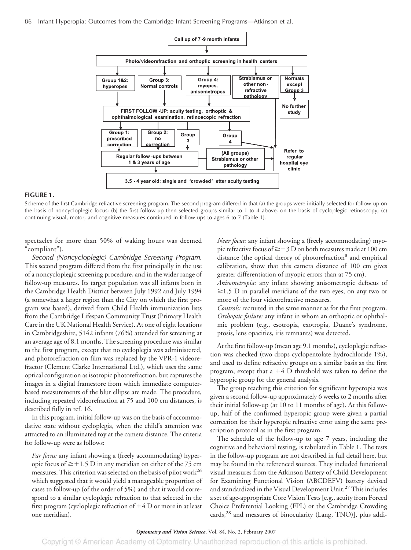

## **FIGURE 1.**

Scheme of the first Cambridge refractive screening program. The second program differed in that (a) the groups were initially selected for follow-up on the basis of noncycloplegic focus; (b) the first follow-up then selected groups similar to 1 to 4 above, on the basis of cycloplegic retinoscopy; (c) continuing visual, motor, and cognitive measures continued in follow-ups to ages 6 to 7 (Table 1).

spectacles for more than 50% of waking hours was deemed "compliant").

*Second (Noncycloplegic) Cambridge Screening Program.* This second program differed from the first principally in the use of a noncycloplegic screening procedure, and in the wider range of follow-up measures. Its target population was all infants born in the Cambridge Health District between July 1992 and July 1994 (a somewhat a larger region than the City on which the first program was based), derived from Child Health immunization lists from the Cambridge Lifespan Community Trust (Primary Health Care in the UK National Health Service). At one of eight locations in Cambridgeshire, 5142 infants (76%) attended for screening at an average age of 8.1 months. The screening procedure was similar to the first program, except that no cycloplegia was administered, and photorefraction on film was replaced by the VPR-1 videorefractor (Clement Clarke International Ltd.), which uses the same optical configuration as isotropic photorefraction, but captures the images in a digital framestore from which immediate computerbased measurements of the blur ellipse are made. The procedure, including repeated videorefraction at 75 and 100 cm distances, is described fully in ref. 16.

In this program, initial follow-up was on the basis of accommodative state without cycloplegia, when the child's attention was attracted to an illuminated toy at the camera distance. The criteria for follow-up were as follows:

*Far focus:* any infant showing a (freely accommodating) hyperopic focus of  $\ge$  +1.5 D in any meridian on either of the 75 cm measures. This criterion was selected on the basis of pilot work<sup>26</sup> which suggested that it would yield a manageable proportion of cases to follow-up (of the order of 5%) and that it would correspond to a similar cycloplegic refraction to that selected in the first program (cycloplegic refraction of  $+4$  D or more in at least one meridian).

*Near focus:* any infant showing a (freely accommodating) myopic refractive focus of  $\ge$  -3 D on both measures made at 100 cm distance (the optical theory of photorefraction<sup>8</sup> and empirical calibration, show that this camera distance of 100 cm gives greater differentiation of myopic errors than at 75 cm).

*Anisometropia:* any infant showing anisometropic defocus of  $\geq$ 1.5 D in parallel meridians of the two eyes, on any two or more of the four videorefractive measures.

*Controls:* recruited in the same manner as for the first program. *Orthoptic failure:* any infant in whom an orthoptic or ophthalmic problem (e.g., esotropia, exotropia, Duane's syndrome, ptosis, lens opacities, iris remnants) was detected.

At the first follow-up (mean age 9.1 months), cycloplegic refraction was checked (two drops cyclopentolate hydrochloride 1%), and used to define refractive groups on a similar basis as the first program, except that a  $+4$  D threshold was taken to define the hyperopic group for the general analysis.

The group reaching this criterion for significant hyperopia was given a second follow-up approximately 6 weeks to 2 months after their initial follow-up (at 10 to 11 months of age). At this followup, half of the confirmed hyperopic group were given a partial correction for their hyperopic refractive error using the same prescription protocol as in the first program.

The schedule of the follow-up to age 7 years, including the cognitive and behavioral testing, is tabulated in Table 1. The tests in the follow-up program are not described in full detail here, but may be found in the referenced sources. They included functional visual measures from the Atkinson Battery of Child Development for Examining Functional Vision (ABCDEFV) battery devised and standardized in the Visual Development Unit.<sup>27</sup> This includes a set of age-appropriate Core Vision Tests [e.g., acuity from Forced Choice Preferential Looking (FPL) or the Cambridge Crowding cards,<sup>28</sup> and measures of binocularity (Lang, TNO)], plus addi-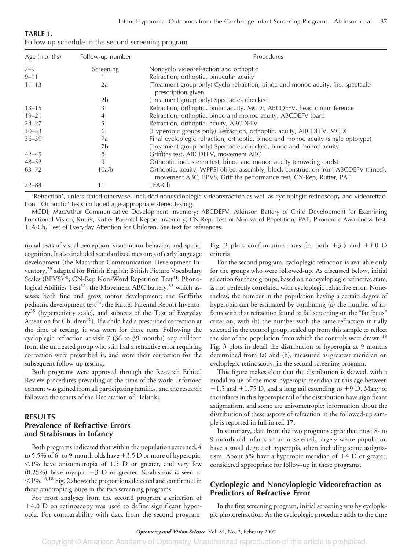| <b>TABLE 1.</b> |                                                    |  |  |
|-----------------|----------------------------------------------------|--|--|
|                 | Follow-up schedule in the second screening program |  |  |

| Age (months) | Follow-up number | Procedures                                                                                                                                                |
|--------------|------------------|-----------------------------------------------------------------------------------------------------------------------------------------------------------|
| $7 - 9$      | Screening        | Noncyclo videorefraction and orthoptic                                                                                                                    |
| $9 - 11$     |                  | Refraction, orthoptic, binocular acuity                                                                                                                   |
| $11 - 13$    | 2a               | (Treatment group only) Cyclo refraction, binoc and monoc acuity, first spectacle<br>prescription given                                                    |
|              | 2 <sub>b</sub>   | (Treatment group only) Spectacles checked                                                                                                                 |
| $13 - 15$    |                  | Refraction, orthoptic, binoc acuity, MCDI, ABCDEFV, head circumference                                                                                    |
| $19 - 21$    | 4                | Refraction, orthoptic, binoc and monoc acuity, ABCDEFV (part)                                                                                             |
| $24 - 27$    |                  | Refraction, orthoptic, acuity, ABCDEFV                                                                                                                    |
| $30 - 33$    | 6                | (Hyperopic groups only) Refraction, orthoptic, acuity, ABCDEFV, MCDI                                                                                      |
| $36 - 39$    | 7a               | Final cycloplegic refraction, orthoptic, binoc and monoc acuity (single optotype)                                                                         |
|              | 7b               | (Treatment group only) Spectacles checked, binoc and monoc acuity                                                                                         |
| $42 - 45$    | 8                | Griffiths test, ABCDEFV, movement ABC                                                                                                                     |
| $48 - 52$    | 9                | Orthoptic incl. stereo test, binoc and monoc acuity (crowding cards)                                                                                      |
| $63 - 72$    | 10a/b            | Orthoptic, acuity, WPPSI object assembly, block construction from ABCDEFV (timed),<br>movement ABC, BPVS, Griffiths performance test, CN-Rep, Rutter, PAT |
| $72 - 84$    | 11               | TEA-Ch                                                                                                                                                    |

'Refraction', unless stated otherwise, included noncycloplegic videorefraction as well as cycloplegic retinoscopy and videorefraction. 'Orthoptic' tests included age-appropriate stereo testing.

MCDI, MacArthur Communicative Development Inventory; ABCDEFV, Atkinson Battery of Child Development for Examining Functional Vision; Rutter, Rutter Parental Report Inventory; CN-Rep, Test of Non-word Repetition; PAT, Phonemic Awareness Test; TEA-Ch, Test of Everyday Attention for Children. See text for references.

tional tests of visual perception, visuomotor behavior, and spatial cognition. It also included standardized measures of early language development (the Macarthur Communication Development Inventory,<sup>29</sup> adapted for British English; British Picture Vocabulary Scales (BPVS)<sup>30</sup>; CN-Rep Non-Word Repetition Test<sup>31</sup>; Phonological Abilities Test<sup>32</sup>; the Movement ABC battery,  $33$  which assesses both fine and gross motor development; the Griffiths pediatric development test<sup>34</sup>; the Rutter Parental Report Inventory<sup>35</sup> (hyperactivity scale), and subtests of the Test of Everyday Attention for Children<sup>36</sup>). If a child had a prescribed correction at the time of testing, it was worn for these tests. Following the cycloplegic refraction at visit 7 (36 to 39 months) any children from the untreated group who still had a refractive error requiring correction were prescribed it, and wore their correction for the subsequent follow-up testing.

Both programs were approved through the Research Ethical Review procedures prevailing at the time of the work. Informed consent was gained from all participating families, and the research followed the tenets of the Declaration of Helsinki.

## **RESULTS Prevalence of Refractive Errors and Strabismus in Infancy**

Both programs indicated that within the population screened, 4 to 5.5% of 6- to 9-month olds have  $+3.5$  D or more of hyperopia, -1% have anisometropia of 1.5 D or greater, and very few (0.25%) have myopia  $-3$  D or greater. Strabismus is seen in -1%.16,18 Fig. 2 shows the proportions detected and confirmed in these ametropic groups in the two screening programs.

For most analyses from the second program a criterion of 4.0 D on retinoscopy was used to define significant hyperopia. For comparability with data from the second program,

Fig. 2 plots confirmation rates for both  $+3.5$  and  $+4.0$  D criteria.

For the second program, cycloplegic refraction is available only for the groups who were followed-up. As discussed below, initial selection for these groups, based on noncycloplegic refractive state, is not perfectly correlated with cycloplegic refractive error. Nonetheless, the number in the population having a certain degree of hyperopia can be estimated by combining (a) the number of infants with that refraction found to fail screening on the "far focus" criterion, with (b) the number with the same refraction initially selected in the control group, scaled up from this sample to reflect the size of the population from which the controls were drawn.<sup>18</sup> Fig. 3 plots in detail the distribution of hyperopia at 9 months determined from (a) and (b), measured as greatest meridian on cycloplegic retinoscopy, in the second screening program.

This figure makes clear that the distribution is skewed, with a modal value of the most hyperopic meridian at this age between  $+1.5$  and  $+1.75$  D, and a long tail extending to  $+9$  D. Many of the infants in this hyperopic tail of the distribution have significant astigmatism, and some are anisometropic; information about the distribution of these aspects of refraction in the followed-up sample is reported in full in ref. 17.

In summary, data from the two programs agree that most 8- to 9-month-old infants in an unselected, largely white population have a small degree of hyperopia, often including some astigmatism. About 5% have a hyperopic meridian of  $+4$  D or greater, considered appropriate for follow-up in these programs.

## **Cycloplegic and Noncyloplegic Videorefraction as Predictors of Refractive Error**

In the first screening program, initial screening was by cycloplegic photorefraction. As the cycloplegic procedure adds to the time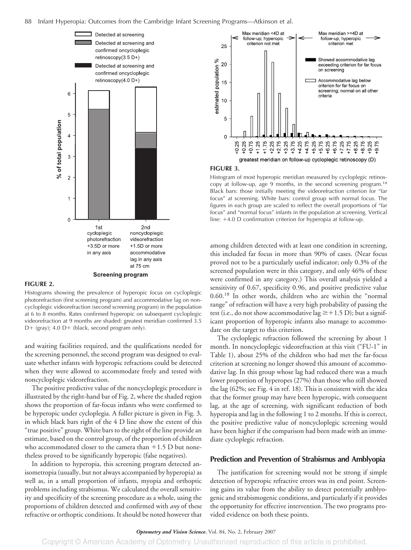88 Infant Hyperopia: Outcomes from the Cambridge Infant Screening Programs—Atkinson et al.



#### **FIGURE 2.**

Histograms showing the prevalence of hyperopic focus on cycloplegic photorefraction (first screening program) and accommodative lag on noncycloplegic videorefraction (second screening program) in the population at 6 to 8 months. Rates confirmed hyperopic on subsequent cycloplegic videorefraction at 9 months are shaded: greatest meridian confirmed 3.5  $D+$  (gray); 4.0  $D+$  (black, second program only).

and waiting facilities required, and the qualifications needed for the screening personnel, the second program was designed to evaluate whether infants with hyperopic refractions could be detected when they were allowed to accommodate freely and tested with noncycloplegic videorefraction.

The positive predictive value of the noncycloplegic procedure is illustrated by the right-hand bar of Fig. 2, where the shaded region shows the proportion of far-focus infants who were confirmed to be hyperopic under cycloplegia. A fuller picture is given in Fig. 3, in which black bars right of the 4 D line show the extent of this "true positive" group. White bars to the right of the line provide an estimate, based on the control group, of the proportion of children who accommodated closer to the camera than  $+1.5$  D but nonetheless proved to be significantly hyperopic (false negatives).

In addition to hyperopia, this screening program detected anisometropia (usually, but not always accompanied by hyperopia) as well as, in a small proportion of infants, myopia and orthoptic problems including strabismus. We calculated the overall sensitivity and specificity of the screening procedure as a whole, using the proportions of children detected and confirmed with *any* of these refractive or orthoptic conditions. It should be noted however that



#### **FIGURE 3.**

Histogram of most hyperopic meridian measured by cycloplegic retinoscopy at follow-up, age 9 months, in the second screening program.18 Black bars: those initially meeting the videorefraction criterion for "far focus" at screening. White bars: control group with normal focus. The figures in each group are scaled to reflect the overall proportions of "far focus" and "normal focus" infants in the population at screening. Vertical line: 4.0 D confirmation criterion for hyperopia at follow-up.

among children detected with at least one condition in screening, this included far focus in more than 90% of cases. (Near focus proved not to be a particularly useful indicator; only 0.3% of the screened population were in this category, and only 46% of these were confirmed in any category.) This overall analysis yielded a sensitivity of 0.67, specificity 0.96, and positive predictive value 0.60.18 In other words, children who are within the "normal range" of refraction will have a very high probability of passing the test (i.e., do not show accommodative lag  $\geq$  + 1.5 D); but a significant proportion of hyperopic infants also manage to accommodate on the target to this criterion.

The cycloplegic refraction followed the screening by about 1 month. In noncycloplegic videorefraction at this visit ("FU-1" in Table 1), about 25% of the children who had met the far-focus criterion at screening no longer showed this amount of accommodative lag. In this group whose lag had reduced there was a much lower proportion of hyperopes (27%) than those who still showed the lag (62%; see Fig. 4 in ref. 18). This is consistent with the idea that the former group may have been hyperopic, with consequent lag, at the age of screening, with significant reduction of both hyperopia and lag in the following 1 to 2 months. If this is correct, the positive predictive value of noncycloplegic screening would have been higher if the comparison had been made with an immediate cycloplegic refraction.

## **Prediction and Prevention of Strabismus and Amblyopia**

The justification for screening would not be strong if simple detection of hyperopic refractive errors was its end point. Screening gains its value from the ability to detect potentially amblyogenic and strabismogenic conditions, and particularly if it provides the opportunity for effective intervention. The two programs provided evidence on both these points.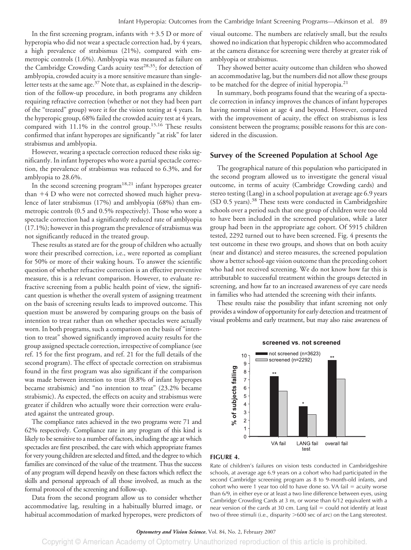In the first screening program, infants with  $+3.5$  D or more of hyperopia who did not wear a spectacle correction had, by 4 years, a high prevalence of strabismus (21%), compared with emmetropic controls (1.6%). Amblyopia was measured as failure on the Cambridge Crowding Cards acuity test<sup>28,35</sup>; for detection of amblyopia, crowded acuity is a more sensitive measure than singleletter tests at the same age. $37$  Note that, as explained in the description of the follow-up procedure, in both programs any children requiring refractive correction (whether or not they had been part of the "treated" group) wore it for the vision testing at 4 years. In the hyperopic group, 68% failed the crowded acuity test at 4 years, compared with 11.1% in the control group.<sup>15,16</sup> These results confirmed that infant hyperopes are significantly "at risk" for later strabismus and amblyopia.

However, wearing a spectacle correction reduced these risks significantly. In infant hyperopes who wore a partial spectacle correction, the prevalence of strabismus was reduced to 6.3%, and for amblyopia to 28.6%.

In the second screening  $program<sup>18,21</sup>$  infant hyperopes greater than  $+4$  D who were not corrected showed much higher prevalence of later strabismus (17%) and amblyopia (68%) than emmetropic controls (0.5 and 0.5% respectively). Those who wore a spectacle correction had a significantly reduced rate of amblyopia (17.1%); however in this program the prevalence of strabismus was not significantly reduced in the treated group.

These results as stated are for the group of children who actually wore their prescribed correction, i.e., were reported as compliant for 50% or more of their waking hours. To answer the scientific question of whether refractive correction is an effective preventive measure, this is a relevant comparison. However, to evaluate refractive screening from a public health point of view, the significant question is whether the overall system of assigning treatment on the basis of screening results leads to improved outcome. This question must be answered by comparing groups on the basis of intention to treat rather than on whether spectacles were actually worn. In both programs, such a comparison on the basis of "intention to treat" showed significantly improved acuity results for the group assigned spectacle correction, irrespective of compliance (see ref. 15 for the first program, and ref. 21 for the full details of the second program). The effect of spectacle correction on strabismus found in the first program was also significant if the comparison was made between intention to treat (8.8% of infant hyperopes became strabismic) and "no intention to treat" (23.2% became strabismic). As expected, the effects on acuity and strabismus were greater if children who actually wore their correction were evaluated against the untreated group.

The compliance rates achieved in the two programs were 71 and 62% respectively. Compliance rate in any program of this kind is likely to be sensitive to a number of factors, including the age at which spectacles are first prescribed, the care with which appropriate frames for very young children are selected and fitted, and the degree to which families are convinced of the value of the treatment. Thus the success of any program will depend heavily on these factors which reflect the skills and personal approach of all those involved, as much as the formal protocol of the screening and follow-up.

Data from the second program allow us to consider whether accommodative lag, resulting in a habitually blurred image, or habitual accommodation of marked hyperopes, were predictors of visual outcome. The numbers are relatively small, but the results showed no indication that hyperopic children who accommodated at the camera distance for screening were thereby at greater risk of amblyopia or strabismus.

They showed better acuity outcome than children who showed an accommodative lag, but the numbers did not allow these groups to be matched for the degree of initial hyperopia.<sup>21</sup>

In summary, both programs found that the wearing of a spectacle correction in infancy improves the chances of infant hyperopes having normal vision at age 4 and beyond. However, compared with the improvement of acuity, the effect on strabismus is less consistent between the programs; possible reasons for this are considered in the discussion.

## **Survey of the Screened Population at School Age**

The geographical nature of this population who participated in the second program allowed us to investigate the general visual outcome, in terms of acuity (Cambridge Crowding cards) and stereo testing (Lang) in a school population at average age 6.9 years (SD 0.5 years).<sup>38</sup> These tests were conducted in Cambridgeshire schools over a period such that one group of children were too old to have been included in the screened population, while a later group had been in the appropriate age cohort. Of 5915 children tested, 2292 turned out to have been screened. Fig. 4 presents the test outcome in these two groups, and shows that on both acuity (near and distance) and stereo measures, the screened population show a better school-age vision outcome than the preceding cohort who had not received screening. We do not know how far this is attributable to successful treatment within the groups detected in screening, and how far to an increased awareness of eye care needs in families who had attended the screening with their infants.

These results raise the possibility that infant screening not only provides a window of opportunity for early detection and treatment of visual problems and early treatment, but may also raise awareness of



## **FIGURE 4.**

Rate of children's failures on vision tests conducted in Cambridgeshire schools, at average age 6.9 years on a cohort who had participated in the second Cambridge screening program as 8 to 9-month-old infants, and cohort who were 1 year too old to have done so. VA fail  $=$  acuity worse than 6/9, in either eye or at least a two line difference between eyes, using Cambridge Crowding Cards at 3 m, or worse than 6/12 equivalent with a near version of the cards at 30 cm. Lang fail  $=$  could not identify at least two of three stimuli (i.e., disparity >600 sec of arc) on the Lang stereotest.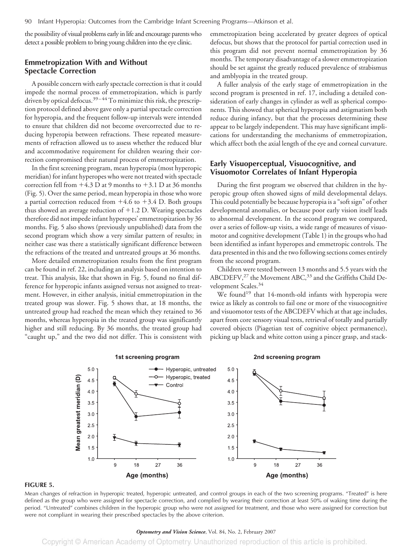the possibility of visual problems early in life and encourage parents who detect a possible problem to bring young children into the eye clinic.

## **Emmetropization With and Without Spectacle Correction**

A possible concern with early spectacle correction is that it could impede the normal process of emmetropization, which is partly driven by optical defocus.<sup>39-44</sup> To minimize this risk, the prescription protocol defined above gave only a partial spectacle correction for hyperopia, and the frequent follow-up intervals were intended to ensure that children did not become overcorrected due to reducing hyperopia between refractions. These repeated measurements of refraction allowed us to assess whether the reduced blur and accommodative requirement for children wearing their correction compromised their natural process of emmetropization.

In the first screening program, mean hyperopia (most hyperopic meridian) for infant hyperopes who were not treated with spectacle correction fell from  $+4.3$  D at 9 months to  $+3.1$  D at 36 months (Fig. 5). Over the same period, mean hyperopia in those who wore a partial correction reduced from  $+4.6$  to  $+3.4$  D. Both groups thus showed an average reduction of  $+1.2$  D. Wearing spectacles therefore did not impede infant hyperopes' emmetropization by 36 months. Fig. 5 also shows (previously unpublished) data from the second program which show a very similar pattern of results; in neither case was there a statistically significant difference between the refractions of the treated and untreated groups at 36 months.

More detailed emmetropization results from the first program can be found in ref. 22, including an analysis based on intention to treat. This analysis, like that shown in Fig. 5, found no final difference for hyperopic infants assigned versus not assigned to treatment. However, in either analysis, initial emmetropization in the treated group was slower. Fig. 5 shows that, at 18 months, the untreated group had reached the mean which they retained to 36 months, whereas hyperopia in the treated group was significantly higher and still reducing. By 36 months, the treated group had "caught up," and the two did not differ. This is consistent with emmetropization being accelerated by greater degrees of optical defocus, but shows that the protocol for partial correction used in this program did not prevent normal emmetropization by 36 months. The temporary disadvantage of a slower emmetropization should be set against the greatly reduced prevalence of strabismus and amblyopia in the treated group.

A fuller analysis of the early stage of emmetropization in the second program is presented in ref. 17, including a detailed consideration of early changes in cylinder as well as spherical components. This showed that spherical hyperopia and astigmatism both reduce during infancy, but that the processes determining these appear to be largely independent. This may have significant implications for understanding the mechanisms of emmetropization, which affect both the axial length of the eye and corneal curvature.

## **Early Visuoperceptual, Visuocognitive, and Visuomotor Correlates of Infant Hyperopia**

During the first program we observed that children in the hyperopic group often showed signs of mild developmental delays. This could potentially be because hyperopia is a "soft sign" of other developmental anomalies, or because poor early vision itself leads to abnormal development. In the second program we compared, over a series of follow-up visits, a wide range of measures of visuomotor and cognitive development (Table 1) in the groups who had been identified as infant hyperopes and emmetropic controls. The data presented in this and the two following sections comes entirely from the second program.

Children were tested between 13 months and 5.5 years with the ABCDEFV,<sup>27</sup> the Movement ABC,<sup>33</sup> and the Griffiths Child Development Scales.<sup>34</sup>

We found<sup>19</sup> that 14-month-old infants with hyperopia were twice as likely as controls to fail one or more of the visuocognitive and visuomotor tests of the ABCDEFV which at that age includes, apart from core sensory visual tests, retrieval of totally and partially covered objects (Piagetian test of cognitive object permanence), picking up black and white cotton using a pincer grasp, and stack-



#### **FIGURE 5.**

Mean changes of refraction in hyperopic treated, hyperopic untreated, and control groups in each of the two screening programs. "Treated" is here defined as the group who were assigned for spectacle correction, and complied by wearing their correction at least 50% of waking time during the period. "Untreated" combines children in the hyperopic group who were not assigned for treatment, and those who were assigned for correction but were not compliant in wearing their prescribed spectacles by the above criterion.

#### *Optometry and Vision Science*, Vol. 84, No. 2, February 2007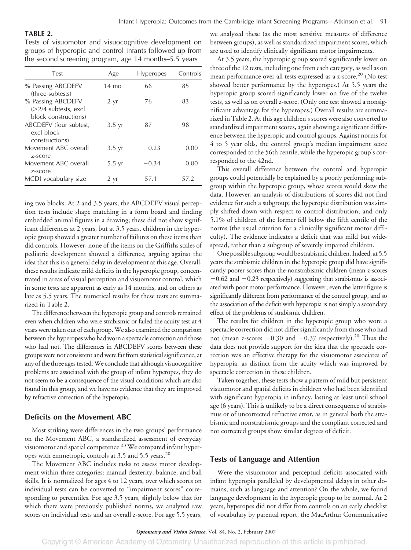## **TABLE 2.**

Tests of visuomotor and visuocognitive development on groups of hyperopic and control infants followed up from the second screening program, age 14 months–5.5 years

| <b>Test</b>                                                         | Age              | <b>Hyperopes</b> | Controls |
|---------------------------------------------------------------------|------------------|------------------|----------|
| % Passing ABCDEFV<br>(three subtests)                               | $14 \text{ mo}$  | 66               | 85       |
| % Passing ABCDEFV<br>$(>2/4$ subtests, excl<br>block constructions) | $2 \, yr$        | 76               | 83       |
| ABCDEFV (four subtest,<br>excl block<br>constructions)              | $3.5 \text{ yr}$ | 87               | 98       |
| Movement ABC overall<br>z-score                                     | $3.5 \text{ yr}$ | $-0.23$          | 0.00     |
| Movement ABC overall<br>z-score                                     | $5.5 \text{ yr}$ | $-0.34$          | 0.00     |
| MCDI vocabulary size                                                | 2 yr             | 57.1             | 57.2     |

ing two blocks. At 2 and 3.5 years, the ABCDEFV visual perception tests include shape matching in a form board and finding embedded animal figures in a drawing; these did not show significant differences at 2 years, but at 3.5 years, children in the hyperopic group showed a greater number of failures on these items than did controls. However, none of the items on the Griffiths scales of pediatric development showed a difference, arguing against the idea that this is a general delay in development at this age. Overall, these results indicate mild deficits in the hyperopic group, concentrated in areas of visual perception and visuomotor control, which in some tests are apparent as early as 14 months, and on others as late as 5.5 years. The numerical results for these tests are summarized in Table 2.

The difference between the hyperopic group and controls remained even when children who were strabismic or failed the acuity test at 4 years were taken out of each group.We also examined the comparison between the hyperopes who had worn a spectacle correction and those who had not. The differences in ABCDEFV scores between these groups were not consistent and were far from statistical significance, at any of the three ages tested.We conclude that although visuocognitive problems are associated with the group of infant hyperopes, they do not seem to be a consequence of the visual conditions which are also found in this group, and we have no evidence that they are improved by refractive correction of the hyperopia.

## **Deficits on the Movement ABC**

Most striking were differences in the two groups' performance on the Movement ABC, a standardized assessment of everyday visuomotor and spatial competence.<sup>33</sup> We compared infant hyperopes with emmetropic controls at 3.5 and 5.5 years.<sup>20</sup>

The Movement ABC includes tasks to assess motor development within three categories: manual dexterity, balance, and ball skills. It is normalized for ages 4 to 12 years, over which scores on individual tests can be converted to "impairment scores" corresponding to percentiles. For age 3.5 years, slightly below that for which there were previously published norms, we analyzed raw scores on individual tests and an overall z-score. For age 5.5 years,

we analyzed these (as the most sensitive measures of difference between groups), as well as standardized impairment scores, which are used to identify clinically significant motor impairments.

At 3.5 years, the hyperopic group scored significantly lower on three of the 12 tests, including one from each category, as well as on mean performance over all tests expressed as a z-score.20 (No test showed better performance by the hyperopes.) At 5.5 years the hyperopic group scored significantly lower on five of the twelve tests, as well as on overall z-score. (Only one test showed a nonsignificant advantage for the hyperopes.) Overall results are summarized in Table 2. At this age children's scores were also converted to standardized impairment scores, again showing a significant difference between the hyperopic and control groups. Against norms for 4 to 5 year olds, the control group's median impairment score corresponded to the 56th centile, while the hyperopic group's corresponded to the 42nd.

This overall difference between the control and hyperopic groups could potentially be explained by a poorly performing subgroup within the hyperopic group, whose scores would skew the data. However, an analysis of distributions of scores did not find evidence for such a subgroup; the hyperopic distribution was simply shifted down with respect to control distribution, and only 5.1% of children of the former fell below the fifth centile of the norms (the usual criterion for a clinically significant motor difficulty). The evidence indicates a deficit that was mild but widespread, rather than a subgroup of severely impaired children.

One possible subgroup would be strabismic children. Indeed, at 5.5 years the strabismic children in the hyperopic group did have significantly poorer scores than the nonstrabismic children (mean z-scores  $-0.62$  and  $-0.23$  respectively) suggesting that strabismus is associated with poor motor performance. However, even the latter figure is significantly different from performance of the control group, and so the association of the deficit with hyperopia is not simply a secondary effect of the problems of strabismic children.

The results for children in the hyperopic group who wore a spectacle correction did not differ significantly from those who had not (mean z-scores  $-0.30$  and  $-0.37$  respectively).<sup>20</sup> Thus the data does not provide support for the idea that the spectacle correction was an effective therapy for the visuomotor associates of hyperopia, as distinct from the acuity which was improved by spectacle correction in these children.

Taken together, these tests show a pattern of mild but persistent visuomotor and spatial deficits in children who had been identified with significant hyperopia in infancy, lasting at least until school age (6 years). This is unlikely to be a direct consequence of strabismus or of uncorrected refractive error, as in general both the strabismic and nonstrabismic groups and the compliant corrected and not corrected groups show similar degrees of deficit.

## **Tests of Language and Attention**

Were the visuomotor and perceptual deficits associated with infant hyperopia paralleled by developmental delays in other domains, such as language and attention? On the whole, we found language development in the hyperopic group to be normal. At 2 years, hyperopes did not differ from controls on an early checklist of vocabulary by parental report, the MacArthur Communicative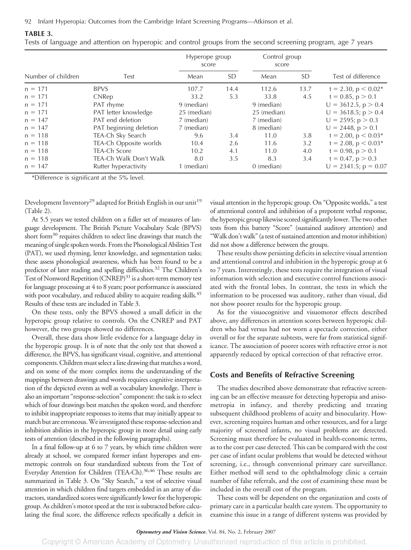#### **TABLE 3.**

Tests of language and attention on hyperopic and control groups from the second screening program, age 7 years

|                    |                        | Hyperope group<br>score |      | Control group<br>score |           |                                      |  |
|--------------------|------------------------|-------------------------|------|------------------------|-----------|--------------------------------------|--|
| Number of children | Test                   | Mean                    | SD   | Mean                   | <b>SD</b> | Test of difference                   |  |
| $n = 171$          | <b>BPVS</b>            | 107.7                   | 14.4 | 112.6                  | 13.7      | $t = 2.30$ , $p < 0.02$ <sup>*</sup> |  |
| $n = 171$          | CNRep                  | 33.2                    | 5.3  | 33.8                   | 4.5       | $t = 0.85$ , $p > 0.1$               |  |
| $n = 171$          | PAT rhyme              | 9 (median)              |      | 9 (median)             |           | $U = 3612.5$ , p $> 0.4$             |  |
| $n = 171$          | PAT letter knowledge   | 25 (median)             |      | 25 (median)            |           | $U = 3618.5$ ; p $> 0.4$             |  |
| $n = 147$          | PAT end deletion       | 7 (median)              |      | 7 (median)             |           | $U = 2595$ ; p $> 0.3$               |  |
| $n = 147$          | PAT beginning deletion | 7 (median)              |      | 8 (median)             |           | $U = 2448$ , p $> 0.1$               |  |
| $n = 118$          | TEA-Ch Sky Search      | 9.6                     | 3.4  | 11.0                   | 3.8       | $t = 2.00$ , $p < 0.03*$             |  |
| $n = 118$          | TEA-Ch Opposite worlds | 10.4                    | 2.6  | 11.6                   | 3.2       | $t = 2.08$ , $p < 0.03*$             |  |
| $n = 118$          | <b>TEA-Ch Score</b>    | 10.2                    | 4.1  | 11.0                   | 4.0       | $t = 0.98$ , $p > 0.1$               |  |
| $n = 118$          | TEA-Ch Walk Don't Walk | 8.0                     | 3.5  | 8.3                    | 3.4       | $t = 0.47$ , $p > 0.3$               |  |
| $n = 147$          | Rutter hyperactivity   | 1 (median)              |      | $0 \pmod{an}$          |           | $U = 2341.5$ ; p = 0.07              |  |

\*Difference is significant at the 5% level.

Development Inventory<sup>29</sup> adapted for British English in our unit<sup>19</sup> (Table 2).

At 5.5 years we tested children on a fuller set of measures of language development. The British Picture Vocabulary Scale (BPVS) short form<sup>30</sup> requires children to select line drawings that match the meaning of single spoken words. From the Phonological Abilities Test (PAT), we used rhyming, letter knowledge, and segmentation tasks; these assess phonological awareness, which has been found to be a predictor of later reading and spelling difficulties.<sup>32</sup> The Children's Test of Nonword Repetition (CNREP)<sup>31</sup> is a short-term memory test for language processing at 4 to 8 years; poor performance is associated with poor vocabulary, and reduced ability to acquire reading skills.<sup>45</sup> Results of these tests are included in Table 3.

On these tests, only the BPVS showed a small deficit in the hyperopic group relative to controls. On the CNREP and PAT however, the two groups showed no differences.

Overall, these data show little evidence for a language delay in the hyperopic group. It is of note that the only test that showed a difference, the BPVS, has significant visual, cognitive, and attentional components. Children must select a line drawing that matches a word, and on some of the more complex items the understanding of the mappings between drawings and words requires cognitive interpretation of the depicted events as well as vocabulary knowledge. There is also an important "response-selection" component: the task is to select which of four drawings best matches the spoken word, and therefore to inhibit inappropriate responses to items that may initially appear to match but are erroneous.We investigated these response-selection and inhibition abilities in the hyperopic group in more detail using early tests of attention (described in the following paragraphs).

In a final follow-up at 6 to 7 years, by which time children were already at school, we compared former infant hyperopes and emmetropic controls on four standardized subtests from the Test of Everyday Attention for Children (TEA-Ch).36,46 These results are summarized in Table 3. On "Sky Search," a test of selective visual attention in which children find targets embedded in an array of distractors, standardized scores were significantly lower for the hyperopic group. As children's motor speed at the test is subtracted before calculating the final score, the difference reflects specifically a deficit in visual attention in the hyperopic group. On "Opposite worlds," a test of attentional control and inhibition of a prepotent verbal response, the hyperopic group likewise scored significantly lower. The two other tests from this battery "Score" (sustained auditory attention) and "Walk don't walk" (a test of sustained attention and motor inhibition) did not show a difference between the groups.

These results show persisting deficits in selective visual attention and attentional control and inhibition in the hyperopic group at 6 to 7 years. Interestingly, these tests require the integration of visual information with selection and executive control functions associated with the frontal lobes. In contrast, the tests in which the information to be processed was auditory, rather than visual, did not show poorer results for the hyperopic group.

As for the visuocognitive and visuomotor effects described above, any differences in attention scores between hyperopic children who had versus had not worn a spectacle correction, either overall or for the separate subtests, were far from statistical significance. The association of poorer scores with refractive error is not apparently reduced by optical correction of that refractive error.

## **Costs and Benefits of Refractive Screening**

The studies described above demonstrate that refractive screening can be an effective measure for detecting hyperopia and anisometropia in infancy, and thereby predicting and treating subsequent childhood problems of acuity and binocularity. However, screening requires human and other resources, and for a large majority of screened infants, no visual problems are detected. Screening must therefore be evaluated in health-economic terms, as to the cost per case detected. This can be compared with the cost per case of infant ocular problems that would be detected without screening, i.e., through conventional primary care surveillance. Either method will send to the ophthalmology clinic a certain number of false referrals, and the cost of examining these must be included in the overall cost of the program.

These costs will be dependent on the organization and costs of primary care in a particular health care system. The opportunity to examine this issue in a range of different systems was provided by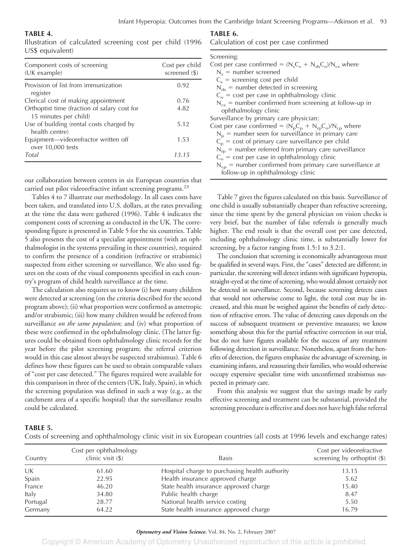## **TABLE 4.**

Illustration of calculated screening cost per child (1996 US\$ equivalent)

| Component costs of screening<br>(UK example)                          | Cost per child<br>screened (\$) |
|-----------------------------------------------------------------------|---------------------------------|
| Provision of list from immunization<br>register                       | 0.92                            |
| Clerical cost of making appointment                                   | 0.76                            |
| Orthoptist time (fraction of salary cost for<br>15 minutes per child) | 4.82                            |
| Use of building (rental costs charged by<br>health centre)            | 5.12                            |
| Equipment-videorefractor written off<br>over 10,000 tests             | 1.53                            |
| Total                                                                 | 13.15                           |

our collaboration between centers in six European countries that carried out pilot videorefractive infant screening programs.<sup>23</sup>

Tables 4 to 7 illustrate our methodology. In all cases costs have been taken, and translated into U.S. dollars, at the rates prevailing at the time the data were gathered (1996). Table 4 indicates the component costs of screening as conducted in the UK. The corresponding figure is presented in Table 5 for the six countries. Table 5 also presents the cost of a specialist appointment (with an ophthalmologist in the systems prevailing in these countries), required to confirm the presence of a condition (refractive or strabismic) suspected from either screening or surveillance. We also used figures on the costs of the visual components specified in each country's program of child health surveillance at the time.

The calculation also requires us to know (i) how many children were detected at screening (on the criteria described for the second program above); (ii) what proportion were confirmed as ametropic and/or strabismic; (iii) how many children would be referred from surveillance *on the same population*; and (iv) what proportion of these were confirmed in the ophthalmology clinic. (The latter figures could be obtained from ophthalmology clinic records for the year before the pilot screening program; the referral criterion would in this case almost always be suspected strabismus). Table 6 defines how these figures can be used to obtain comparable values of "cost per case detected." The figures required were available for this comparison in three of the centers (UK, Italy, Spain), in which the screening population was defined in such a way (e.g., as the catchment area of a specific hospital) that the surveillance results could be calculated.

## **TABLE 6.**

Calculation of cost per case confirmed

| Screening:                                                     |
|----------------------------------------------------------------|
| Cost per case confirmed = $(N_cC_s + N_{ds}C_o)/N_{cs}$ where  |
| $N_s$ = number screened                                        |
| $C_s$ = screening cost per child                               |
| $N_{ds}$ = number detected in screening                        |
| $C_{o}$ = cost per case in ophthalmology clinic                |
| $N_{\rm cs}$ = number confirmed from screening at follow-up in |
| ophthalmology clinic                                           |
| Surveillance by primary care physician:                        |
| Cost per case confirmed = $(N_pC_p + N_{rp}C_o)/N_{cp}$ where  |
| $N_p$ = number seen for surveillance in primary care           |
| $C_p$ = cost of primary care surveillance per child            |
| $N_{rp}$ = number referred from primary care surveillance      |
| $C_{o}$ = cost per case in ophthalmology clinic                |
| $N_{cp}$ = number confirmed from primary care surveillance at  |
| follow-up in ophthalmology clinic                              |
|                                                                |

Table 7 gives the figures calculated on this basis. Surveillance of one child is usually substantially cheaper than refractive screening, since the time spent by the general physician on vision checks is very brief, but the number of false referrals is generally much higher. The end result is that the overall cost per case detected, including ophthalmology clinic time, is substantially lower for screening, by a factor ranging from 1.5:1 to 3.2:1.

The conclusion that screening is economically advantageous must be qualified in several ways. First, the "cases" detected are different; in particular, the screening will detect infants with significant hyperopia, straight-eyed at the time of screening, who would almost certainly not be detected in surveillance. Second, because screening detects cases that would not otherwise come to light, the total cost may be increased, and this must be weighed against the benefits of early detection of refractive errors. The value of detecting cases depends on the success of subsequent treatment or preventive measures; we know something about this for the partial refractive correction in our trial, but do not have figures available for the success of any treatment following detection in surveillance. Nonetheless, apart from the benefits of detection, the figures emphasize the advantage of screening, in examining infants, and reassuring their families, who would otherwise occupy expensive specialist time with unconfirmed strabismus suspected in primary care.

From this analysis we suggest that the savings made by early effective screening and treatment can be substantial, provided the screening procedure is effective and does not have high false referral

**TABLE 5.**

Costs of screening and ophthalmology clinic visit in six European countries (all costs at 1996 levels and exchange rates)

| Country  | Cost per ophthalmology<br>clinic visit $(\$)$ | <b>Basis</b>                                   | Cost per videorefractive<br>screening by orthoptist (\$) |
|----------|-----------------------------------------------|------------------------------------------------|----------------------------------------------------------|
| UK       | 61.60                                         | Hospital charge to purchasing health authority | 13.15                                                    |
| Spain    | 22.95                                         | Health insurance approved charge               | 5.62                                                     |
| France   | 46.20                                         | State health insurance approved charge         | 15.40                                                    |
| Italy    | 34.80                                         | Public health charge                           | 8.47                                                     |
| Portugal | 28.77                                         | National health service costing                | 5.50                                                     |
| Germany  | 64.22                                         | State health insurance approved charge         | 16.79                                                    |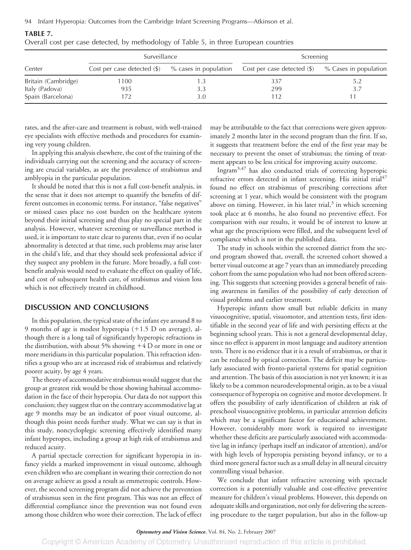# Center Surveillance Screening Cost per case detected (\$) % cases in population Cost per case detected (\$) % Cases in population Britain (Cambridge) 1100 1.3 337 5.2 Italy (Padova) 935 3.3 299 3.7 Spain (Barcelona) 172 3.0 112 11

| Overall cost per case detected, by methodology of Table 5, in three European countries |
|----------------------------------------------------------------------------------------|
|----------------------------------------------------------------------------------------|

rates, and the after-care and treatment is robust, with well-trained eye specialists with effective methods and procedures for examining very young children.

**TABLE 7.**

In applying this analysis elsewhere, the cost of the training of the individuals carrying out the screening and the accuracy of screening are crucial variables, as are the prevalence of strabismus and amblyopia in the particular population.

It should be noted that this is not a full cost-benefit analysis, in the sense that it does not attempt to quantify the benefits of different outcomes in economic terms. For instance, "false negatives" or missed cases place no cost burden on the healthcare system beyond their initial screening and thus play no special part in the analysis. However, whatever screening or surveillance method is used, it is important to state clear to parents that, even if no ocular abnormality is detected at that time, such problems may arise later in the child's life, and that they should seek professional advice if they suspect any problem in the future. More broadly, a full costbenefit analysis would need to evaluate the effect on quality of life, and cost of subsequent health care, of strabismus and vision loss which is not effectively treated in childhood.

## **DISCUSSION AND CONCLUSIONS**

In this population, the typical state of the infant eye around 8 to 9 months of age is modest hyperopia  $(+1.5 \text{ D})$  on average), although there is a long tail of significantly hyperopic refractions in the distribution, with about 5% showing  $+4$  D or more in one or more meridians in this particular population. This refraction identifies a group who are at increased risk of strabismus and relatively poorer acuity, by age 4 years.

The theory of accommodative strabismus would suggest that the group at greatest risk would be those showing habitual accommodation in the face of their hyperopia. Our data do not support this conclusion; they suggest that on the contrary accommodative lag at age 9 months may be an indicator of poor visual outcome, although this point needs further study. What we can say is that in this study, noncycloplegic screening effectively identified many infant hyperopes, including a group at high risk of strabismus and reduced acuity.

A partial spectacle correction for significant hyperopia in infancy yields a marked improvement in visual outcome, although even children who are compliant in wearing their correction do not on average achieve as good a result as emmetropic controls. However, the second screening program did not achieve the prevention of strabismus seen in the first program. This was not an effect of differential compliance since the prevention was not found even among those children who wore their correction. The lack of effect may be attributable to the fact that corrections were given approximately 2 months later in the second program than the first. If so, it suggests that treatment before the end of the first year may be necessary to prevent the onset of strabismus; the timing of treatment appears to be less critical for improving acuity outcome.

Ingram3,47 has also conducted trials of correcting hyperopic refractive errors detected in infant screening. His initial trial $47$ found no effect on strabismus of prescribing corrections after screening at 1 year, which would be consistent with the program above on timing. However, in his later trial, $3$  in which screening took place at 6 months, he also found no preventive effect. For comparison with our results, it would be of interest to know at what age the prescriptions were filled, and the subsequent level of compliance which is not in the published data.

The study in schools within the screened district from the second program showed that, overall, the screened cohort showed a better visual outcome at age 7 years than an immediately preceding cohort from the same population who had not been offered screening. This suggests that screening provides a general benefit of raising awareness in families of the possibility of early detection of visual problems and earlier treatment.

Hyperopic infants show small but reliable deficits in many visuocognitive, spatial, visuomotor, and attention tests, first identifiable in the second year of life and with persisting effects at the beginning school years. This is not a general developmental delay, since no effect is apparent in most language and auditory attention tests. There is no evidence that it is a result of strabismus, or that it can be reduced by optical correction. The deficit may be particularly associated with fronto-parietal systems for spatial cognition and attention. The basis of this association is not yet known; it is as likely to be a common neurodevelopmental origin, as to be a visual consequence of hyperopia on cognitive and motor development. It offers the possibility of early identification of children at risk of preschool visuocognitive problems, in particular attention deficits which may be a significant factor for educational achievement. However, considerably more work is required to investigate whether these deficits are particularly associated with accommodative lag in infancy (perhaps itself an indicator of attention), and/or with high levels of hyperopia persisting beyond infancy, or to a third more general factor such as a small delay in all neural circuitry controlling visual behavior.

We conclude that infant refractive screening with spectacle correction is a potentially valuable and cost-effective preventive measure for children's visual problems. However, this depends on adequate skills and organization, not only for delivering the screening procedure to the target population, but also in the follow-up

Copyright © American Academy of Optometry. Unauthorized reproduction of this article is prohibited.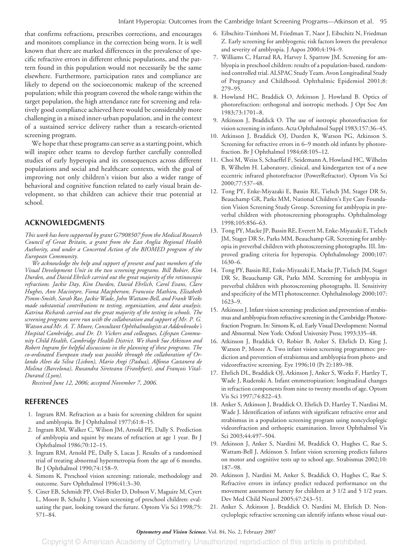that confirms refractions, prescribes corrections, and encourages and monitors compliance in the correction being worn. It is well known that there are marked differences in the prevalence of specific refractive errors in different ethnic populations, and the pattern found in this population would not necessarily be the same elsewhere. Furthermore, participation rates and compliance are likely to depend on the socioeconomic makeup of the screened population; while this program covered the whole range within the target population, the high attendance rate for screening and relatively good compliance achieved here would be considerably more challenging in a mixed inner-urban population, and in the context of a sustained service delivery rather than a research-oriented screening program.

We hope that these programs can serve as a starting point, which will inspire other teams to develop further carefully controlled studies of early hyperopia and its consequences across different populations and social and healthcare contexts, with the goal of improving not only children's vision but also a wider range of behavioral and cognitive function related to early visual brain development, so that children can achieve their true potential at school.

## **ACKNOWLEDGMENTS**

*This work has been supported by grant G7908507 from the Medical Research Council of Great Britain, a grant from the East Anglia Regional Health Authority, and under a Concerted Action of the BIOMED program of the European Community.*

*We acknowledge the help and support of present and past members of the Visual Development Unit in the two screening programs. Bill Bobier, Kim Durden, and David Ehrlich carried out the great majority of the retinoscopic refractions. Jackie Day, Kim Durden, David Ehrlich, Carol Evans, Clare Hughes, Ann Macintyre, Fiona Macpherson, Francoise Mathieu, Elizabeth Pimm-Smith, Sarah Rae, Jackie Wade, John Wattam-Bell, and Frank Weeks made substantial contributions to testing, organization, and data analysis. Katrina Richards carried out the great majority of the testing in schools. The screening programs were run with the collaboration and support of Mr. P. G. Watson and Mr. A. T. Moore, Consultant Ophthalmologists at Addenbrooke's Hospital Cambridge, and Dr. D. Vickers and colleagues, Lifespan Community Child Health, Cambridge Health District. We thank Sue Atkinson and Robert Ingram for helpful discussions in the planning of these programs. The co-ordinated European study was possible through the collaboration of Orlando Alves da Silva (Lisbon), Mario Angi (Padua), Alfonso Castanera de* Molina (Barcelona), Ruxandra Sireteanu (Frankfurt), and François Vital-*Durand (Lyon).*

*Received June 12, 2006; accepted November 7, 2006.*

## **REFERENCES**

- 1. Ingram RM. Refraction as a basis for screening children for squint and amblyopia. Br J Ophthalmol 1977;61:8–15.
- 2. Ingram RM, Walker C, Wilson JM, Arnold PE, Dally S. Prediction of amblyopia and squint by means of refraction at age 1 year. Br J Ophthalmol 1986;70:12–15.
- 3. Ingram RM, Arnold PE, Dally S, Lucas J. Results of a randomised trial of treating abnormal hypermetropia from the age of 6 months. Br J Ophthalmol 1990;74:158–9.
- 4. Simons K. Preschool vision screening: rationale, methodology and outcome. Surv Ophthalmol 1996;41:3–30.
- 5. Ciner EB, Schmidt PP, Orel-Bixler D, Dobson V, Maguire M, Cyert L, Moore B, Schultz J. Vision screening of preschool children: evaluating the past, looking toward the future. Optom Vis Sci 1998;75: 571–84.
- 6. Eibschitz-Tsimhoni M, Friedman T, Naor J, Eibschitz N, Friedman Z. Early screening for amblyogenic risk factors lowers the prevalence and severity of amblyopia. J Aapos 2000;4:194–9.
- 7. Williams C, Harrad RA, Harvey I, Sparrow JM. Screening for amblyopia in preschool children: results of a population-based, randomised controlled trial. ALSPAC Study Team. Avon Longitudinal Study of Pregnancy and Childhood. Ophthalmic Epidemiol 2001;8: 279–95.
- 8. Howland HC, Braddick O, Atkinson J, Howland B. Optics of photorefraction: orthogonal and isotropic methods. J Opt Soc Am 1983;73:1701–8.
- 9. Atkinson J, Braddick O. The use of isotropic photorefraction for vision screening in infants. Acta Ophthalmol Suppl 1983;157:36–45.
- 10. Atkinson J, Braddick OJ, Durden K, Watson PG, Atkinson S. Screening for refractive errors in 6–9 month old infants by photorefraction. Br J Ophthalmol 1984;68:105–12.
- 11. Choi M, Weiss S, Schaeffel F, Seidemann A, Howland HC, Wilhelm B, Wilhelm H. Laboratory, clinical, and kindergarten test of a new eccentric infrared photorefractor (PowerRefractor). Optom Vis Sci 2000;77:537–48.
- 12. Tong PY, Enke-Miyazaki E, Bassin RE, Tielsch JM, Stager DR Sr, Beauchamp GR, Parks MM, National Children's Eye Care Foundation Vision Screening Study Group. Screening for amblyopia in preverbal children with photoscreening photographs. Ophthalmology 1998;105:856–63.
- 13. Tong PY, Macke JP, Bassin RE, Everett M, Enke-Miyazaki E, Tielsch JM, Stager DR Sr, Parks MM, Beauchamp GR. Screening for amblyopia in preverbal children with photoscreening photographs. III. Improved grading criteria for hyperopia. Ophthalmology 2000;107: 1630–6.
- 14. Tong PY, Bassin RE, Enke-Miyazaki E, Macke JP, Tielsch JM, Stager DR Sr, Beauchamp GR, Parks MM. Screening for amblyopia in preverbal children with photoscreening photographs. II. Sensitivity and specificity of the MTI photoscreener. Ophthalmology 2000;107: 1623–9.
- 15. Atkinson J.Infant vision screening: prediction and prevention of strabismus and amblyopia from refractive screening in the Cambridge Photorefraction Program. In: Simons K, ed. Early Visual Development: Normal and Abnormal. New York: Oxford University Press; 1993:335–48.
- 16. Atkinson J, Braddick O, Robier B, Anker S, Ehrlich D, King J, Watson P, Moore A. Two infant vision screening programmes: prediction and prevention of strabismus and amblyopia from photo- and videorefractive screening. Eye 1996;10 (Pt 2):189–98.
- 17. Ehrlich DL, Braddick OJ, Atkinson J, Anker S, Weeks F, Hartley T, Wade J, Rudenski A. Infant emmetropization: longitudinal changes in refraction components from nine to twenty months of age. Optom Vis Sci 1997;74:822–43.
- 18. Anker S, Atkinson J, Braddick O, Ehrlich D, Hartley T, Nardini M, Wade J. Identification of infants with significant refractive error and strabismus in a population screening program using noncycloplegic videorefraction and orthoptic examination. Invest Ophthalmol Vis Sci 2003;44:497–504.
- 19. Atkinson J, Anker S, Nardini M, Braddick O, Hughes C, Rae S, Wattam-Bell J, Atkinson S. Infant vision screening predicts failures on motor and cognitive tests up to school age. Strabismus 2002;10: 187–98.
- 20. Atkinson J, Nardini M, Anker S, Braddick O, Hughes C, Rae S. Refractive errors in infancy predict reduced performance on the movement assessment battery for children at 3 1/2 and 5 1/2 years. Dev Med Child Neurol 2005;47:243–51.
- 21. Anker S, Atkinson J, Braddick O, Nardini M, Ehrlich D. Noncycloplegic refractive screening can identify infants whose visual out-